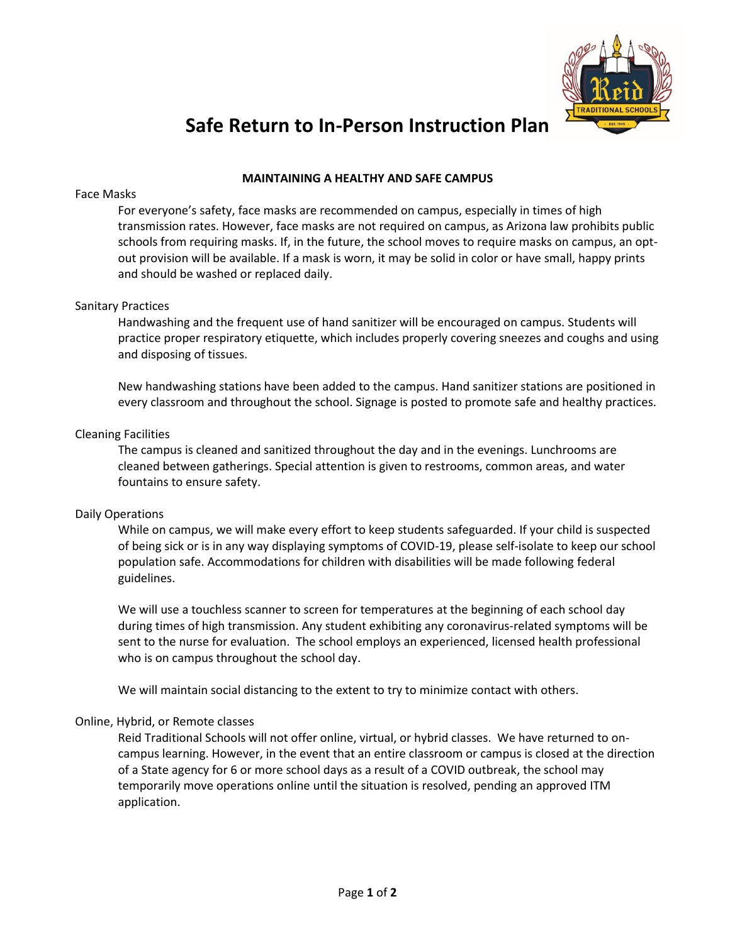

# **Safe Return to In-Person Instruction Plan**

## **MAINTAINING A HEALTHY AND SAFE CAMPUS**

#### Face Masks

For everyone's safety, face masks are recommended on campus, especially in times of high transmission rates. However, face masks are not required on campus, as Arizona law prohibits public schools from requiring masks. If, in the future, the school moves to require masks on campus, an optout provision will be available. If a mask is worn, it may be solid in color or have small, happy prints and should be washed or replaced daily.

### Sanitary Practices

Handwashing and the frequent use of hand sanitizer will be encouraged on campus. Students will practice proper respiratory etiquette, which includes properly covering sneezes and coughs and using and disposing of tissues.

New handwashing stations have been added to the campus. Hand sanitizer stations are positioned in every classroom and throughout the school. Signage is posted to promote safe and healthy practices.

### Cleaning Facilities

The campus is cleaned and sanitized throughout the day and in the evenings. Lunchrooms are cleaned between gatherings. Special attention is given to restrooms, common areas, and water fountains to ensure safety.

## Daily Operations

While on campus, we will make every effort to keep students safeguarded. If your child is suspected of being sick or is in any way displaying symptoms of COVID-19, please self-isolate to keep our school population safe. Accommodations for children with disabilities will be made following federal guidelines.

We will use a touchless scanner to screen for temperatures at the beginning of each school day during times of high transmission. Any student exhibiting any coronavirus-related symptoms will be sent to the nurse for evaluation. The school employs an experienced, licensed health professional who is on campus throughout the school day.

We will maintain social distancing to the extent to try to minimize contact with others.

#### Online, Hybrid, or Remote classes

Reid Traditional Schools will not offer online, virtual, or hybrid classes. We have returned to oncampus learning. However, in the event that an entire classroom or campus is closed at the direction of a State agency for 6 or more school days as a result of a COVID outbreak, the school may temporarily move operations online until the situation is resolved, pending an approved ITM application.